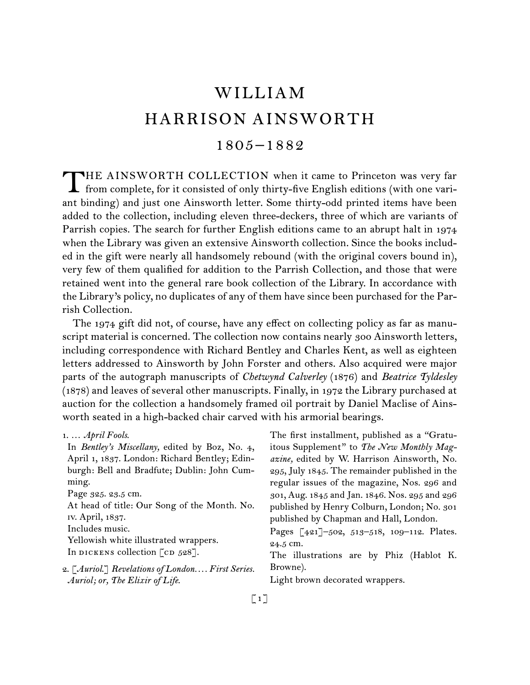# WILLIAM HARRISON AINSWORTH  $1805 - 1882$

THE AINSWORTH COLLECTION when it came to Princeton was very far<br>from complete, for it consisted of only thirty-five English editions (with one variant binding) and just one Ainsworth letter. Some thirty-odd printed items have been added to the collection, including eleven three-deckers, three of which are variants of Parrish copies. The search for further English editions came to an abrupt halt in 1974 when the Library was given an extensive Ainsworth collection. Since the books included in the gift were nearly all handsomely rebound (with the original covers bound in), very few of them qualified for addition to the Parrish Collection, and those that were retained went into the general rare book collection of the Library. In accordance with the Library's policy, no duplicates of any of them have since been purchased for the Parrish Collection.

The 1974 gift did not, of course, have any effect on collecting policy as far as manuscript material is concerned. The collection now contains nearly 300 Ainsworth letters, including correspondence with Richard Bentley and Charles Kent, as well as eighteen letters addressed to Ainsworth by John Forster and others. Also acquired were major parts of the autograph manuscripts of *Chetwynd Calverley* (1876) and *Beatrice Tyldesley*  (1878) and leaves of several other manuscripts. Finally, in 1972 the Library purchased at auction for the collection a handsomely framed oil portrait by Daniel Maclise of Ainsworth seated in a high-backed chair carved with his armorial bearings.

| $1. \ldots$ April Fools. |
|--------------------------|
|--------------------------|

In *Bentley's Miscellany,* edited by Boz, No. 4, April 1, 1837. London: Richard Bentley; Edinburgh: Bell and Bradfute; Dublin: John Cumming. Page 325. 23.5 cm. At head of title: Our Song of the Month. No. iv. April, 1837. Includes music. Yellowish white illustrated wrappers.

In dickens collection  $[CD 528]$ .

The first installment, published as a "Gratuitous Supplement" to *The New Monthly Magazine,* edited by W. Harrison Ainsworth, No. 295, July 1845. The remainder published in the regular issues of the magazine, Nos. 296 and 301, Aug. 1845 and Jan. 1846. Nos. 295 and 296 published by Henry Colburn, London; No. 301 published by Chapman and Hall, London.

Pages [421]-502, 513-518, 109-112. Plates. 24.5 cm.

The illustrations are by Phiz (Hablot K. Browne).

Light brown decorated wrappers.

<sup>2.  [</sup>*Auriol*.] *Revelations of London. . . . First Series. Auriol; or, The Elixir of Life*.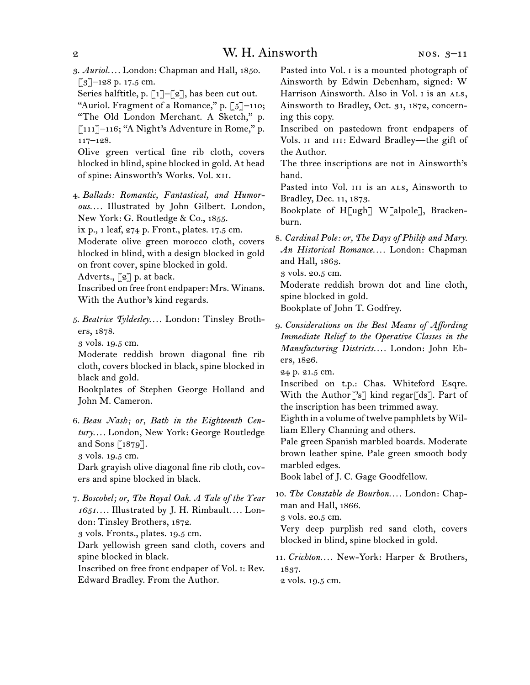3.  *Auriol. . . .* London: Chapman and Hall, 1850.  $\left[ 3 \right]$ –128 p. 17.5 cm.

Series halftitle, p.  $\lceil 1 \rceil - \lceil 2 \rceil$ , has been cut out. "Auriol. Fragment of a Romance," p.  $\lceil 5 \rceil$ –110; "The Old London Merchant. A Sketch," p. [111]–116; "A Night's Adventure in Rome," p.

117–128. Olive green vertical fine rib cloth, covers

blocked in blind, spine blocked in gold. At head of spine: Ainsworth's Works. Vol. xii.

4.  *Ballads: Romantic, Fantastical, and Humorous. . . .* Illustrated by John Gilbert. London, New York: G. Routledge & Co., 1855.

ix p., 1 leaf, 274 p. Front., plates. 17.5 cm.

Moderate olive green morocco cloth, covers blocked in blind, with a design blocked in gold on front cover, spine blocked in gold.

Adverts., [2] p. at back.

Inscribed on free front endpaper: Mrs. Winans. With the Author's kind regards.

5.  *Beatrice Tyldesley. . . .* London: Tinsley Brothers, 1878.

3 vols. 19.5 cm.

Moderate reddish brown diagonal fine rib cloth, covers blocked in black, spine blocked in black and gold.

Bookplates of Stephen George Holland and John M. Cameron.

6.  *Beau Nash; or, Bath in the Eighteenth Century. . . .* London, New York: George Routledge and Sons [1879].

3 vols. 19.5 cm.

Dark grayish olive diagonal fine rib cloth, covers and spine blocked in black.

7.  *Boscobel; or, The Royal Oak. A Tale of the Year 1651. . . .* Illustrated by J. H. Rimbault*. . . .* London: Tinsley Brothers, 1872.

3 vols. Fronts., plates. 19.5 cm.

Dark yellowish green sand cloth, covers and spine blocked in black.

Inscribed on free front endpaper of Vol. i: Rev. Edward Bradley. From the Author.

Pasted into Vol. I is a mounted photograph of Ainsworth by Edwin Debenham, signed: W Harrison Ainsworth. Also in Vol. I is an ALS, Ainsworth to Bradley, Oct. 31, 1872, concerning this copy.

Inscribed on pastedown front endpapers of Vols. II and III: Edward Bradley-the gift of the Author.

The three inscriptions are not in Ainsworth's hand.

Pasted into Vol. III is an ALS, Ainsworth to Bradley, Dec. 11, 1873.

Bookplate of H[ugh] W[alpole], Brackenburn.

8.  *Cardinal Pole: or, The Days of Philip and Mary. An Historical Romance. . . .* London: Chapman and Hall, 1863.

3 vols. 20.5 cm.

Moderate reddish brown dot and line cloth, spine blocked in gold.

Bookplate of John T. Godfrey.

9.  *Considerations on the Best Means of Affording Immediate Relief to the Operative Classes in the Manufacturing Districts. . . .* London: John Ebers, 1826.

24 p. 21.5 cm.

Inscribed on t.p.: Chas. Whiteford Esqre. With the Author<sup>['</sup>s'] kind regar<sup>[ds]</sup>. Part of the inscription has been trimmed away.

Eighth in a volume of twelve pamphlets by William Ellery Channing and others.

Pale green Spanish marbled boards. Moderate brown leather spine. Pale green smooth body marbled edges.

Book label of J. C. Gage Goodfellow.

10.  *The Constable de Bourbon. . . .* London: Chapman and Hall, 1866.

3 vols. 20.5 cm.

Very deep purplish red sand cloth, covers blocked in blind, spine blocked in gold.

11.  *Crichton. . . .* New-York: Harper & Brothers, 1837.

2 vols. 19.5 cm.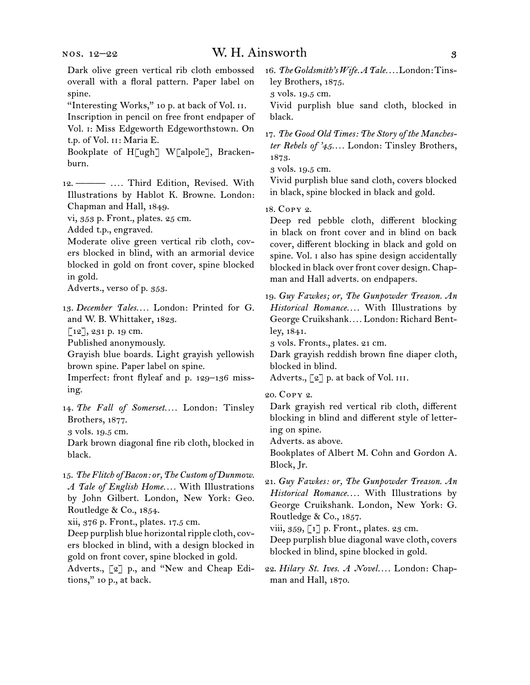Dark olive green vertical rib cloth embossed overall with a floral pattern. Paper label on spine.

"Interesting Works," 10 p. at back of Vol. II. Inscription in pencil on free front endpaper of Vol. i: Miss Edgeworth Edgeworthstown. On t.p. of Vol. ii: Maria E.

Bookplate of H[ugh] W[alpole], Brackenburn.

12.  ——— *. . . .* Third Edition, Revised. With Illustrations by Hablot K. Browne. London: Chapman and Hall, 1849.

vi, 353 p. Front., plates. 25 cm.

Added t.p., engraved.

Moderate olive green vertical rib cloth, covers blocked in blind, with an armorial device blocked in gold on front cover, spine blocked in gold.

Adverts., verso of p. 353.

13.  *December Tales. . . .* London: Printed for G. and W. B. Whittaker, 1823.

[12], 231 p. 19 cm.

Published anonymously.

Grayish blue boards. Light grayish yellowish brown spine. Paper label on spine.

Imperfect: front flyleaf and p. 129–136 missing.

14.  *The Fall of Somerset. . . .* London: Tinsley Brothers, 1877.

3 vols. 19.5 cm.

Dark brown diagonal fine rib cloth, blocked in black.

15.  *The Flitch of Bacon: or, The Custom of Dunmow. A Tale of English Home. . . .* With Illustrations by John Gilbert. London, New York: Geo. Routledge & Co., 1854.

xii, 376 p. Front., plates. 17.5 cm.

Deep purplish blue horizontal ripple cloth, covers blocked in blind, with a design blocked in gold on front cover, spine blocked in gold.

Adverts., [2] p., and "New and Cheap Editions," 10 p., at back.

16.  *The Goldsmith's Wife. A Tale. . . .*London:Tinsley Brothers, 1875.

3 vols. 19.5 cm.

Vivid purplish blue sand cloth, blocked in black.

17.  *The Good Old Times: The Story of the Manchester Rebels of '45. . . .* London: Tinsley Brothers, 1873.

3 vols. 19.5 cm.

Vivid purplish blue sand cloth, covers blocked in black, spine blocked in black and gold.

18.  Copy 2.

Deep red pebble cloth, different blocking in black on front cover and in blind on back cover, different blocking in black and gold on spine. Vol. i also has spine design accidentally blocked in black over front cover design. Chapman and Hall adverts. on endpapers.

19.  *Guy Fawkes; or, The Gunpowder Treason. An Historical Romance. . . .* With Illustrations by George Cruikshank*. . . .* London: Richard Bentley, 1841.

3 vols. Fronts., plates. 21 cm.

Dark grayish reddish brown fine diaper cloth, blocked in blind.

Adverts., [2] p. at back of Vol. III.

20.  Copy 2.

Dark grayish red vertical rib cloth, different blocking in blind and different style of lettering on spine.

Adverts. as above.

Bookplates of Albert M. Cohn and Gordon A. Block, Jr.

21.  *Guy Fawkes: or, The Gunpowder Treason. An Historical Romance. . . .* With Illustrations by George Cruikshank. London, New York: G. Routledge & Co., 1857.

viii,  $359, 1$ ] p. Front., plates. 23 cm.

Deep purplish blue diagonal wave cloth, covers blocked in blind, spine blocked in gold.

22.  *Hilary St. Ives. A Novel. . . .* London: Chapman and Hall, 1870.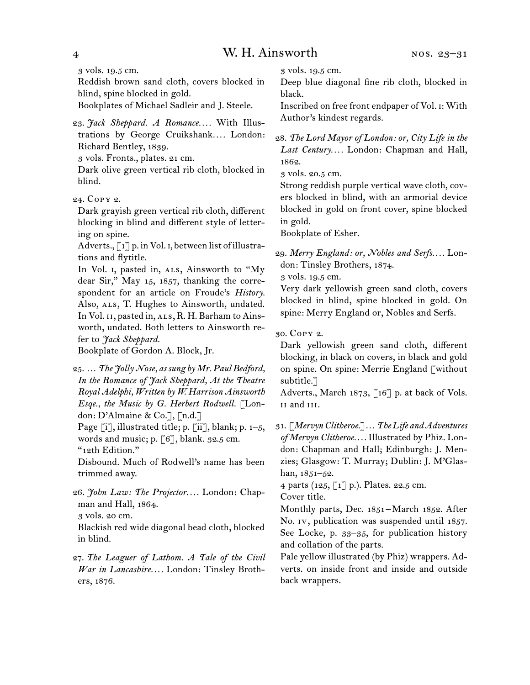3 vols. 19.5 cm.

Reddish brown sand cloth, covers blocked in blind, spine blocked in gold.

Bookplates of Michael Sadleir and J. Steele.

23.  *Jack Sheppard. A Romance. . . .* With Illustrations by George Cruikshank*. . . .* London: Richard Bentley, 1839.

3 vols. Fronts., plates. 21 cm.

Dark olive green vertical rib cloth, blocked in blind.

24.  Copy 2.

Dark grayish green vertical rib cloth, different blocking in blind and different style of lettering on spine.

Adverts., [1] p. in Vol. 1, between list of illustrations and flytitle.

In Vol. 1, pasted in, ALS, Ainsworth to "My dear Sir," May 15, 1857, thanking the correspondent for an article on Froude's *History.* Also, ALS, T. Hughes to Ainsworth, undated. In Vol. 11, pasted in, ALS, R. H. Barham to Ainsworth, undated. Both letters to Ainsworth refer to *Jack Sheppard.*

Bookplate of Gordon A. Block, Jr.

25.  … *The Jolly Nose, as sung by Mr. Paul Bedford, In the Romance of Jack Sheppard, At the Theatre Royal Adelphi, Written by W. Harrison Ainsworth Esqe., the Music by G. Herbert Rodwell.* [London: D'Almaine & Co.], [n.d.]

Page  $[i]$ , illustrated title; p.  $[i]$ , blank; p.  $1-5$ , words and music; p.  $\lceil 6 \rceil$ , blank. 32.5 cm. "12th Edition."

Disbound. Much of Rodwell's name has been trimmed away.

26.  *John Law: The Projector. . . .* London: Chapman and Hall, 1864.

3 vols. 20 cm.

Blackish red wide diagonal bead cloth, blocked in blind.

27.  *The Leaguer of Lathom. A Tale of the Civil War in Lancashire. . . .* London: Tinsley Brothers, 1876.

3 vols. 19.5 cm.

Deep blue diagonal fine rib cloth, blocked in black.

Inscribed on free front endpaper of Vol. i: With Author's kindest regards.

28.  *The Lord Mayor of London: or, City Life in the Last Century. . . .* London: Chapman and Hall, 1862.

3 vols. 20.5 cm.

Strong reddish purple vertical wave cloth, covers blocked in blind, with an armorial device blocked in gold on front cover, spine blocked in gold.

Bookplate of Esher.

29.  *Merry England: or, Nobles and Serfs. . . .* London: Tinsley Brothers, 1874.

3 vols. 19.5 cm.

Very dark yellowish green sand cloth, covers blocked in blind, spine blocked in gold. On spine: Merry England or, Nobles and Serfs.

30.  Copy 2.

Dark yellowish green sand cloth, different blocking, in black on covers, in black and gold on spine. On spine: Merrie England [without subtitle.]

Adverts., March 1873, [16] p. at back of Vols. ii and iii.

31.  [*Mervyn Clitheroe*.]…*The Life and Adventures of Mervyn Clitheroe. . . .* Illustrated by Phiz. London: Chapman and Hall; Edinburgh: J. Menzies; Glasgow: T. Murray; Dublin: J. M'Glashan, 1851–52.

4 parts (125, [1] p.). Plates. 22.5 cm.

Cover title.

Monthly parts, Dec. 1851-March 1852. After No. iv, publication was suspended until 1857. See Locke, p. 33–35, for publication history and collation of the parts.

Pale yellow illustrated (by Phiz) wrappers. Adverts. on inside front and inside and outside back wrappers.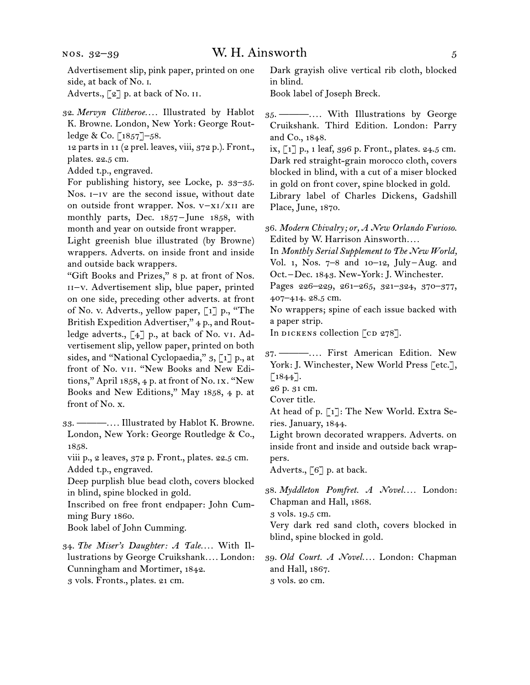Advertisement slip, pink paper, printed on one side, at back of No. i.

Adverts.,  $\lceil 2 \rceil$  p. at back of No. II.

12 parts in 11 (2 prel. leaves, viii, 372 p.). Front., plates. 22.5 cm.

Added t.p., engraved.

For publishing history, see Locke, p. 33–35. Nos. i–iv are the second issue, without date on outside front wrapper. Nos. v–xi/xii are monthly parts, Dec. 1857 – June 1858, with month and year on outside front wrapper.

Light greenish blue illustrated (by Browne) wrappers. Adverts. on inside front and inside and outside back wrappers.

"Gift Books and Prizes," 8 p. at front of Nos. ii–v. Advertisement slip, blue paper, printed on one side, preceding other adverts. at front of No. v. Adverts., yellow paper, [1] p., "The British Expedition Advertiser," 4 p., and Routledge adverts., [4] p., at back of No. vi. Advertisement slip, yellow paper, printed on both sides, and "National Cyclopaedia," 3, [1] p., at front of No. vii. "New Books and New Editions," April 1858, 4 p. at front of No. ix. "New Books and New Editions," May 1858, 4 p. at front of No. x.

33.  ———*. . . .* Illustrated by Hablot K. Browne. London, New York: George Routledge & Co., 1858.

viii p., 2 leaves, 372 p. Front., plates. 22.5 cm. Added t.p., engraved.

Deep purplish blue bead cloth, covers blocked in blind, spine blocked in gold.

Inscribed on free front endpaper: John Cumming Bury 1860.

Book label of John Cumming.

34.  *The Miser's Daughter: A Tale. . . .* With Illustrations by George Cruikshank*. . . .* London: Cunningham and Mortimer, 1842. 3 vols. Fronts., plates. 21 cm.

Dark grayish olive vertical rib cloth, blocked in blind.

Book label of Joseph Breck.

ix, [1] p., 1 leaf, 396 p. Front., plates. 24.5 cm. Dark red straight-grain morocco cloth, covers blocked in blind, with a cut of a miser blocked in gold on front cover, spine blocked in gold. Library label of Charles Dickens, Gadshill Place, June, 1870.

36.  *Modern Chivalry; or, A New Orlando Furioso*. Edited by W. Harrison Ainsworth*. . . .*

In *Monthly Serial Supplement to The New World,* Vol. 1, Nos. 7–8 and 10–12, July – Aug. and Oct. – Dec. 1843. New-York: J. Winchester.

Pages 226–229, 261–265, 321–324, 370–377, 407–414. 28.5 cm.

No wrappers; spine of each issue backed with a paper strip.

In DICKENS collection  $[CD 278]$ .

- 26 p. 31 cm.
- Cover title.
- At head of p. [1]: The New World. Extra Series. January, 1844.

Light brown decorated wrappers. Adverts. on inside front and inside and outside back wrappers.

Adverts., [6] p. at back.

38.  *Myddleton Pomfret. A Novel. . . .* London: Chapman and Hall, 1868.

3 vols. 19.5 cm.

Very dark red sand cloth, covers blocked in blind, spine blocked in gold.

39.  *Old Court. A Novel. . . .* London: Chapman and Hall, 1867. 3 vols. 20 cm.

<sup>32.</sup>*Mervyn Clitheroe. . . .* Illustrated by Hablot K. Browne. London, New York: George Routledge & Co. [1857]–58.

<sup>35.  ———</sup>*. . . .* With Illustrations by George Cruikshank. Third Edition. London: Parry and Co., 1848.

<sup>37.  ———</sup>*. . . .* First American Edition. New York: J. Winchester, New World Press [etc.],  $\lceil 1844 \rceil$ .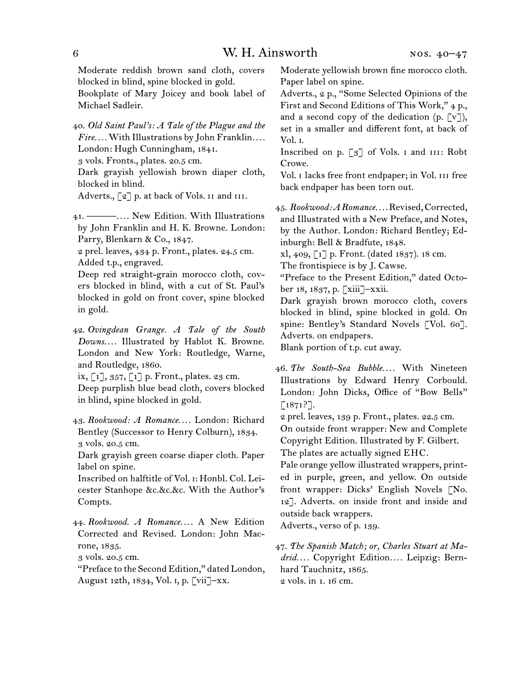Moderate reddish brown sand cloth, covers blocked in blind, spine blocked in gold.

Bookplate of Mary Joicey and book label of Michael Sadleir.

40.  *Old Saint Paul's: A Tale of the Plague and the Fire. . . .* With Illustrations by John Franklin*. . . .* London: Hugh Cunningham, 1841.

3 vols. Fronts., plates. 20.5 cm.

Dark grayish yellowish brown diaper cloth, blocked in blind.

Adverts., [2] p. at back of Vols. II and III.

41.  ———*. . . .* New Edition. With Illustrations by John Franklin and H. K. Browne. London: Parry, Blenkarn & Co., 1847.

2 prel. leaves, 434 p. Front., plates. 24.5 cm. Added t.p., engraved.

Deep red straight-grain morocco cloth, covers blocked in blind, with a cut of St. Paul's blocked in gold on front cover, spine blocked in gold.

42.  *Ovingdean Grange. A Tale of the South Downs. . . .* Illustrated by Hablot K. Browne. London and New York: Routledge, Warne, and Routledge, 1860.

ix, [1], 357, [1] p. Front., plates. 23 cm. Deep purplish blue bead cloth, covers blocked

in blind, spine blocked in gold.

43.  *Rookwood: A Romance. . . .* London: Richard Bentley (Successor to Henry Colburn), 1834. 3 vols. 20.5 cm.

Dark grayish green coarse diaper cloth. Paper label on spine.

Inscribed on halftitle of Vol. i: Honbl. Col. Leicester Stanhope &c.&c.&c. With the Author's Compts.

44.  *Rookwood. A Romance. . . .* A New Edition Corrected and Revised. London: John Macrone, 1835.

3 vols. 20.5 cm.

"Preface to the Second Edition," dated London, August 12th, 1834, Vol. i, p. [vii]–xx.

Moderate yellowish brown fine morocco cloth. Paper label on spine.

Adverts., 2 p., "Some Selected Opinions of the First and Second Editions of This Work," 4 p., and a second copy of the dedication  $(p, \lceil v \rceil)$ , set in a smaller and different font, at back of Vol. i.

Inscribed on p. [3] of Vols. I and III: Robt Crowe.

Vol. I lacks free front endpaper; in Vol. III free back endpaper has been torn out.

45.  *Rookwood: A Romance. . . .*Revised,Corrected, and Illustrated with a New Preface, and Notes, by the Author. London: Richard Bentley; Edinburgh: Bell & Bradfute, 1848.

xl, 409, [1] p. Front. (dated 1837). 18 cm.

The frontispiece is by J. Cawse.

"Preface to the Present Edition," dated October 18, 1837, p. [xiii]–xxii.

Dark grayish brown morocco cloth, covers blocked in blind, spine blocked in gold. On spine: Bentley's Standard Novels [Vol. 60]. Adverts. on endpapers.

Blank portion of t.p. cut away.

46.  *The South-Sea Bubble. . . .* With Nineteen Illustrations by Edward Henry Corbould. London: John Dicks, Office of "Bow Bells"  $[1871?$ ].

2 prel. leaves, 139 p. Front., plates. 22.5 cm. On outside front wrapper: New and Complete Copyright Edition. Illustrated by F. Gilbert.

The plates are actually signed EHC.

Pale orange yellow illustrated wrappers, printed in purple, green, and yellow. On outside front wrapper: Dicks' English Novels [No. 12]. Adverts. on inside front and inside and outside back wrappers.

Adverts., verso of p. 139.

47.  *The Spanish Match; or, Charles Stuart at Madrid. . . .* Copyright Edition*. . . .* Leipzig: Bernhard Tauchnitz, 1865. 2 vols. in 1. 16 cm.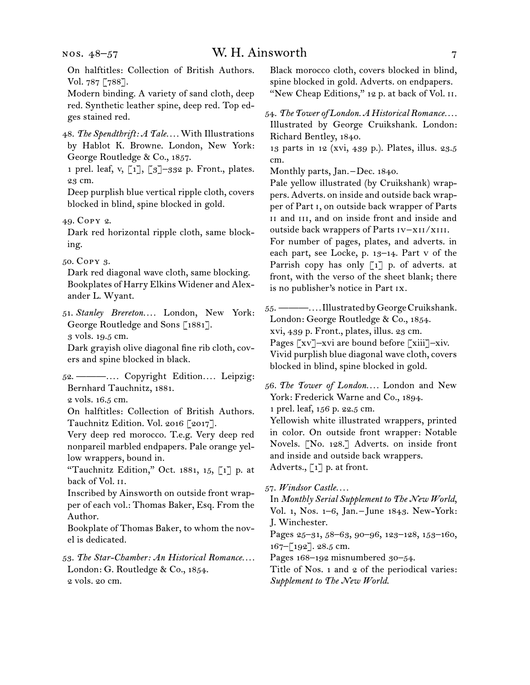nos. 48–57

## W. H. Ainsworth 7

On halftitles: Collection of British Authors. Vol. 787 [788].

Modern binding. A variety of sand cloth, deep red. Synthetic leather spine, deep red. Top edges stained red.

48.  *The Spendthrift: A Tale. . . .* With Illustrations by Hablot K. Browne. London, New York: George Routledge & Co., 1857.

1 prel. leaf, v, [1], [3]–332 p. Front., plates. 23 cm.

Deep purplish blue vertical ripple cloth, covers blocked in blind, spine blocked in gold.

49.  Copy 2.

Dark red horizontal ripple cloth, same blocking.

50.  Copy 3.

Dark red diagonal wave cloth, same blocking. Bookplates of Harry Elkins Widener and Alexander L. Wyant.

51.  *Stanley Brereton. . . .* London, New York: George Routledge and Sons [1881]. 3 vols. 19.5 cm.

Dark grayish olive diagonal fine rib cloth, covers and spine blocked in black.

52.  ———*. . . .* Copyright Edition*. . . .* Leipzig: Bernhard Tauchnitz, 1881.

2 vols. 16.5 cm.

On halftitles: Collection of British Authors. Tauchnitz Edition. Vol. 2016 [2017].

Very deep red morocco. T.e.g. Very deep red nonpareil marbled endpapers. Pale orange yellow wrappers, bound in.

"Tauchnitz Edition," Oct. 1881, 15, [1] p. at back of Vol. ii.

Inscribed by Ainsworth on outside front wrapper of each vol.: Thomas Baker, Esq. From the Author.

Bookplate of Thomas Baker, to whom the novel is dedicated.

53.  *The Star-Chamber: An Historical Romance. . . .* London: G. Routledge & Co., 1854. 2 vols. 20 cm.

Black morocco cloth, covers blocked in blind, spine blocked in gold. Adverts. on endpapers. "New Cheap Editions," 12 p. at back of Vol. II.

54.  *The Tower of London. A Historical Romance. . . .* Illustrated by George Cruikshank. London: Richard Bentley, 1840.

13 parts in 12 (xvi, 439 p.). Plates, illus. 23.5 cm.

Monthly parts, Jan. $-$ Dec. 1840.

Pale yellow illustrated (by Cruikshank) wrappers. Adverts. on inside and outside back wrapper of Part i, on outside back wrapper of Parts II and III, and on inside front and inside and outside back wrappers of Parts iv–xii/xiii.

For number of pages, plates, and adverts. in each part, see Locke, p. 13–14. Part v of the Parrish copy has only [1] p. of adverts. at front, with the verso of the sheet blank; there is no publisher's notice in Part ix.

55.  ———*. . . .*IllustratedbyGeorgeCruikshank. London: George Routledge & Co., 1854. xvi, 439 p. Front., plates, illus. 23 cm. Pages [xv]–xvi are bound before [xiii]–xiv. Vivid purplish blue diagonal wave cloth, covers blocked in blind, spine blocked in gold.

56.  *The Tower of London. . . .* London and New York: Frederick Warne and Co., 1894.

1 prel. leaf, 156 p. 22.5 cm.

Yellowish white illustrated wrappers, printed in color. On outside front wrapper: Notable Novels. [No. 128.] Adverts. on inside front and inside and outside back wrappers. Adverts., [1] p. at front.

57.  *Windsor Castle. . . .*

In *Monthly Serial Supplement to The New World*, Vol. 1, Nos. 1–6, Jan. – June 1843. New-York: J. Winchester.

Pages 25-31, 58-63, 90-96, 123-128, 153-160, 167–[192]. 28.5 cm.

Pages 168–192 misnumbered 30–54.

Title of Nos. 1 and 2 of the periodical varies: *Supplement to The New World*.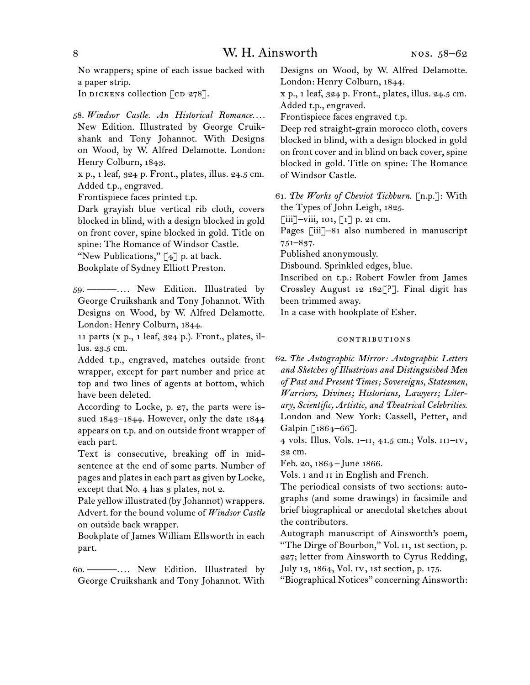No wrappers; spine of each issue backed with a paper strip.

In DICKENS collection  $\lceil$  cD 278].

58.  *Windsor Castle. An Historical Romance. . . .* New Edition. Illustrated by George Cruikshank and Tony Johannot. With Designs on Wood, by W. Alfred Delamotte. London: Henry Colburn, 1843.

x p., 1 leaf, 324 p. Front., plates, illus. 24.5 cm. Added t.p., engraved.

Frontispiece faces printed t.p.

Dark grayish blue vertical rib cloth, covers blocked in blind, with a design blocked in gold on front cover, spine blocked in gold. Title on spine: The Romance of Windsor Castle.

"New Publications,"  $[4]$  p. at back.

Bookplate of Sydney Elliott Preston.

59.  ———*. . . .* New Edition. Illustrated by George Cruikshank and Tony Johannot. With Designs on Wood, by W. Alfred Delamotte. London: Henry Colburn, 1844.

11 parts (x p., 1 leaf, 324 p.). Front., plates, illus. 23.5 cm.

Added t.p., engraved, matches outside front wrapper, except for part number and price at top and two lines of agents at bottom, which have been deleted.

According to Locke, p. 27, the parts were issued 1843–1844. However, only the date 1844 appears on t.p. and on outside front wrapper of each part.

Text is consecutive, breaking off in midsentence at the end of some parts. Number of pages and plates in each part as given by Locke, except that No. 4 has 3 plates, not 2.

Pale yellow illustrated (by Johannot) wrappers. Advert. for the bound volume of *Windsor Castle* on outside back wrapper.

Bookplate of James William Ellsworth in each part.

60.  ———*. . . .* New Edition. Illustrated by George Cruikshank and Tony Johannot. With Designs on Wood, by W. Alfred Delamotte. London: Henry Colburn, 1844.

x p., 1 leaf, 324 p. Front., plates, illus. 24.5 cm. Added t.p., engraved.

Frontispiece faces engraved t.p.

Deep red straight-grain morocco cloth, covers blocked in blind, with a design blocked in gold on front cover and in blind on back cover, spine blocked in gold. Title on spine: The Romance of Windsor Castle.

61.  *The Works of Cheviot Tichburn*. [n.p.]: With the Types of John Leigh, 1825.

 $\lceil$ iii]–viii, 101,  $\lceil$ 1] p. 21 cm.

Pages [iii]–81 also numbered in manuscript 751–837.

Published anonymously.

Disbound. Sprinkled edges, blue.

Inscribed on t.p.: Robert Fowler from James Crossley August 12 182[?]. Final digit has been trimmed away.

In a case with bookplate of Esher.

#### contributions

62.  *The Autographic Mirror: Autographic Letters and Sketches of Illustrious and Distinguished Men of Past and Present Times; Sovereigns, Statesmen, Warriors, Divines; Historians, Lawyers; Literary, Scientific, Artistic, and Theatrical Celebrities*. London and New York: Cassell, Petter, and Galpin [1864–66].

4 vols. Illus. Vols. i–ii, 41.5 cm.; Vols. iii–iv, 32 cm.

Feb. 20, 1864 – June 1866.

Vols. i and ii in English and French.

The periodical consists of two sections: autographs (and some drawings) in facsimile and brief biographical or anecdotal sketches about the contributors.

Autograph manuscript of Ainsworth's poem, "The Dirge of Bourbon," Vol. ii, 1st section, p. 227; letter from Ainsworth to Cyrus Redding, July 13, 1864, Vol. iv, 1st section, p. 175.

"Biographical Notices" concerning Ainsworth: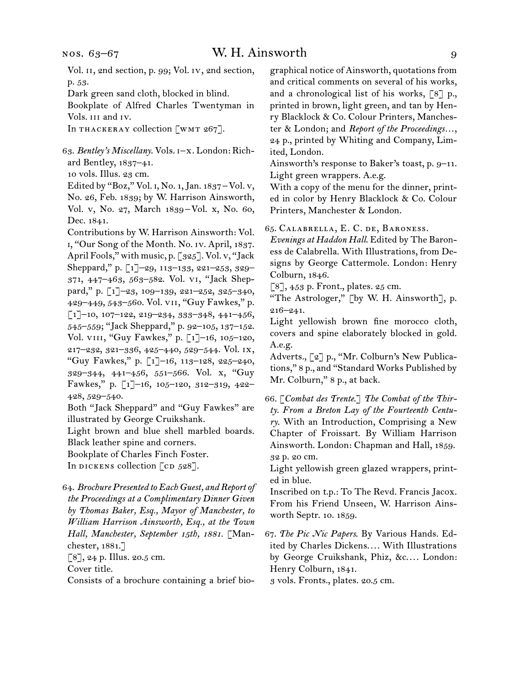## W. H. Ainsworth 9

Vol. 11, 2nd section, p. 99; Vol. Iv, 2nd section, p. 53.

Dark green sand cloth, blocked in blind.

Bookplate of Alfred Charles Twentyman in Vols. iii and iv.

In THACKERAY collection [WMT 267].

63.  *Bentley's Miscellany*. Vols. i–x. London: Richard Bentley, 1837–41.

10 vols. Illus. 23 cm.

Edited by "Boz," Vol. i, No. 1,Jan. 1837 – Vol. v, No. 26, Feb. 1839; by W. Harrison Ainsworth, Vol. v, No. 27, March 1839 – Vol. x, No. 60, Dec. 1841.

Contributions by W. Harrison Ainsworth: Vol. i, "Our Song of the Month. No. iv. April, 1837. April Fools," with music, p. [325]. Vol. v, "Jack Sheppard," p. [1]–29, 113–133, 221–253, 329– 371, 447–463, 563–582. Vol. vi, "Jack Sheppard," p. [1]–23, 109–139, 221–252, 325–340, 429–449, 543–560. Vol. vii, "Guy Fawkes," p.  $\lceil 1 \rceil$ –10, 107–122, 219–234, 333–348, 441–456, 545–559; "Jack Sheppard," p. 92–105, 137–152. Vol. viii, "Guy Fawkes," p. [1]–16, 105–120, 217–232, 321–336, 425–440, 529–544. Vol. ix, "Guy Fawkes," p. [1]–16, 113–128, 225–240, 329–344, 441–456, 551–566. Vol. x, "Guy Fawkes," p. [1]–16, 105–120, 312–319, 422– 428, 529–540.

Both "Jack Sheppard" and "Guy Fawkes" are illustrated by George Cruikshank.

Light brown and blue shell marbled boards. Black leather spine and corners.

Bookplate of Charles Finch Foster.

In DICKENS collection  $[CD 528]$ .

64.  *Brochure Presented to Each Guest, and Report of the Proceedings at a Complimentary Dinner Given by Thomas Baker, Esq., Mayor of Manchester, to William Harrison Ainsworth, Esq., at the Town Hall, Manchester, September 15th, 1881*. [Manchester, 1881.]

 $[8]$ , 24 p. Illus. 20.5 cm.

Cover title.

Consists of a brochure containing a brief bio-

graphical notice of Ainsworth, quotations from and critical comments on several of his works, and a chronological list of his works, [8] p., printed in brown, light green, and tan by Henry Blacklock & Co. Colour Printers, Manchester & London; and *Report of the Proceedings…*, 24 p., printed by Whiting and Company, Limited, London.

Ainsworth's response to Baker's toast, p. 9–11. Light green wrappers. A.e.g.

With a copy of the menu for the dinner, printed in color by Henry Blacklock & Co. Colour Printers, Manchester & London.

65.  Calabrella, E. C. de, Baroness.

*Evenings at Haddon Hall*. Edited by The Baroness de Calabrella. With Illustrations, from Designs by George Cattermole. London: Henry Colburn, 1846.

 $\lceil 8 \rceil$ , 453 p. Front., plates. 25 cm.

"The Astrologer," [by W. H. Ainsworth], p. 216–241.

Light yellowish brown fine morocco cloth, covers and spine elaborately blocked in gold. A.e.g.

Adverts., [2] p., "Mr. Colburn's New Publications," 8 p., and "Standard Works Published by Mr. Colburn," 8 p., at back.

66.  [*Combat des Trente*.] *The Combat of the Thirty. From a Breton Lay of the Fourteenth Century*. With an Introduction, Comprising a New Chapter of Froissart. By William Harrison Ainsworth. London: Chapman and Hall, 1859. 32 p. 20 cm.

Light yellowish green glazed wrappers, printed in blue.

Inscribed on t.p.: To The Revd. Francis Jacox. From his Friend Unseen, W. Harrison Ainsworth Septr. 10. 1859.

67.  *The Pic Nic Papers*. By Various Hands. Edited by Charles Dickens. . . . With Illustrations by George Cruikshank, Phiz, &c. . . . London: Henry Colburn, 1841.

3 vols. Fronts., plates. 20.5 cm.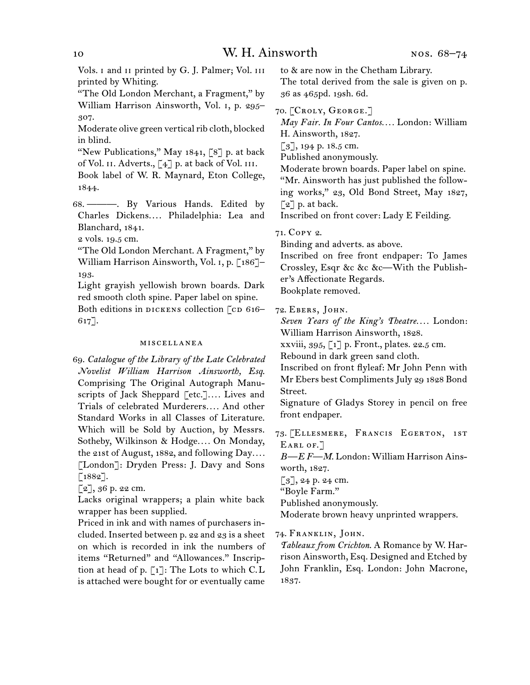Vols. i and ii printed by G. J. Palmer; Vol. iii printed by Whiting.

"The Old London Merchant, a Fragment," by William Harrison Ainsworth, Vol. i, p. 295– 307.

Moderate olive green vertical rib cloth, blocked in blind.

"New Publications," May  $1841, 78$  p. at back of Vol. II. Adverts.,  $\lceil 4 \rceil$  p. at back of Vol. III.

Book label of W. R. Maynard, Eton College, 1844.

68.  ———. By Various Hands. Edited by Charles Dickens. . . . Philadelphia: Lea and Blanchard, 1841.

2 vols. 19.5 cm.

"The Old London Merchant. A Fragment," by William Harrison Ainsworth, Vol. 1, p. [186]-193.

Light grayish yellowish brown boards. Dark red smooth cloth spine. Paper label on spine. Both editions in DICKENS collection [CD 616–

617].

#### miscellanea

69.  *Catalogue of the Library of the Late Celebrated Novelist William Harrison Ainsworth, Esq*. Comprising The Original Autograph Manuscripts of Jack Sheppard [etc.]*. . . .* Lives and Trials of celebrated Murderers*. . . .* And other Standard Works in all Classes of Literature. Which will be Sold by Auction, by Messrs. Sotheby, Wilkinson & Hodge*. . . .* On Monday, the 21st of August, 1882, and following Day*. . . .* [London]: Dryden Press: J. Davy and Sons  $[1882]$ .

 $[2]$ , 36 p. 22 cm.

Lacks original wrappers; a plain white back wrapper has been supplied.

Priced in ink and with names of purchasers included. Inserted between p. 22 and 23 is a sheet on which is recorded in ink the numbers of items "Returned" and "Allowances." Inscription at head of p.  $\lceil 1 \rceil$ : The Lots to which C.L is attached were bought for or eventually came

to & are now in the Chetham Library.

The total derived from the sale is given on p. 36 as 465pd. 19sh. 6d.

70.  [Croly, George.]

*May Fair. In Four Cantos. . . .* London: William H. Ainsworth, 1827.

 $\lceil 3 \rceil$ , 194 p. 18.5 cm.

Published anonymously.

Moderate brown boards. Paper label on spine. "Mr. Ainsworth has just published the following works," 23, Old Bond Street, May 1827,  $\lceil 2 \rceil$  p. at back.

Inscribed on front cover: Lady E Feilding.

71.  Copy 2.

Binding and adverts. as above.

Inscribed on free front endpaper: To James Crossley, Esqr &c &c &c—With the Publisher's Affectionate Regards. Bookplate removed.

72.  Ebers, John.

*Seven Years of the King's Theatre. . . .* London: William Harrison Ainsworth, 1828.

xxviii, 395, [1] p. Front., plates. 22.5 cm.

Rebound in dark green sand cloth.

Inscribed on front flyleaf: Mr John Penn with Mr Ebers best ComplimentsJuly 29 1828 Bond Street.

Signature of Gladys Storey in pencil on free front endpaper.

73.  [Ellesmere, Francis Egerton, 1st EARL OF.<sup>7</sup>

*B—E F—M*. London: William Harrison Ainsworth, 1827.

 $[3]$ , 24 p. 24 cm.

"Boyle Farm."

Published anonymously.

Moderate brown heavy unprinted wrappers.

74.  Franklin, John.

*Tableaux from Crichton*. A Romance by W. Harrison Ainsworth, Esq. Designed and Etched by John Franklin, Esq. London: John Macrone, 1837.